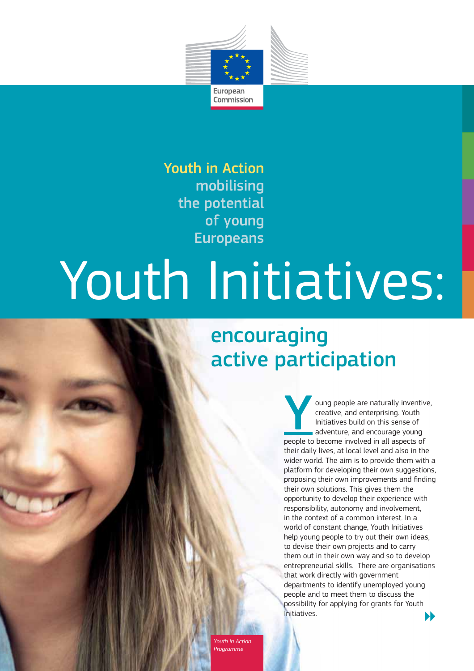

Youth in Action mobilising the potential of young Europeans

# Youth Initiatives:

## encouraging active participation

oung people are naturally inventive, creative, and enterprising. Youth Initiatives build on this sense of adventure, and encourage young people to become involved in all aspects of their daily lives, at local level and also in the wider world. The aim is to provide them with a platform for developing their own suggestions, proposing their own improvements and finding their own solutions. This gives them the opportunity to develop their experience with responsibility, autonomy and involvement, in the context of a common interest. In a world of constant change, Youth Initiatives help young people to try out their own ideas, to devise their own projects and to carry them out in their own way and so to develop entrepreneurial skills. There are organisations that work directly with government departments to identify unemployed young people and to meet them to discuss the possibility for applying for grants for Youth Initiatives.

*Youth in Action*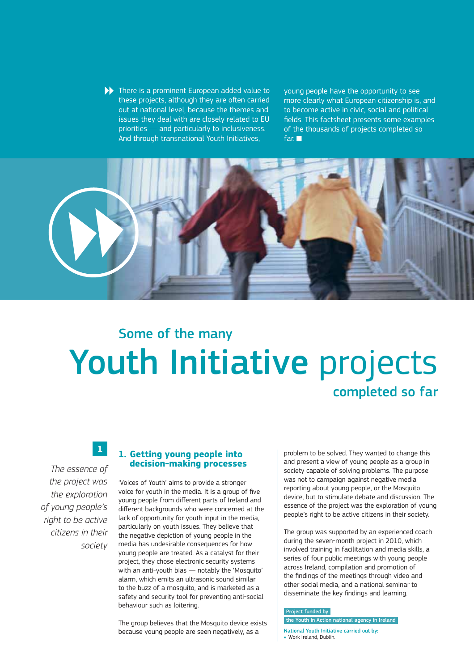There is a prominent European added value to these projects, although they are often carried out at national level, because the themes and issues they deal with are closely related to EU priorities — and particularly to inclusiveness. And through transnational Youth Initiatives,

young people have the opportunity to see more clearly what European citizenship is, and to become active in civic, social and political fields. This factsheet presents some examples of the thousands of projects completed so far.



## Youth Initiative projects Some of the many completed so far

**1**

*The essence of the project was the exploration of young people's right to be active citizens in their society*

#### **1. Getting young people into decision-making processes**

'Voices of Youth' aims to provide a stronger voice for youth in the media. It is a group of five young people from different parts of Ireland and different backgrounds who were concerned at the lack of opportunity for youth input in the media, particularly on youth issues. They believe that the negative depiction of young people in the media has undesirable consequences for how young people are treated. As a catalyst for their project, they chose electronic security systems with an anti-youth bias — notably the 'Mosquito' alarm, which emits an ultrasonic sound similar to the buzz of a mosquito, and is marketed as a safety and security tool for preventing anti-social behaviour such as loitering.

The group believes that the Mosquito device exists because young people are seen negatively, as a

problem to be solved. They wanted to change this and present a view of young people as a group in society capable of solving problems. The purpose was not to campaign against negative media reporting about young people, or the Mosquito device, but to stimulate debate and discussion. The essence of the project was the exploration of young people's right to be active citizens in their society.

The group was supported by an experienced coach during the seven-month project in 2010, which involved training in facilitation and media skills, a series of four public meetings with young people across Ireland, compilation and promotion of the findings of the meetings through video and other social media, and a national seminar to disseminate the key findings and learning.

#### Project funded by

the Youth in Action national agency in Ireland

- National Youth Initiative carried out by:
- Work Ireland, Dublin.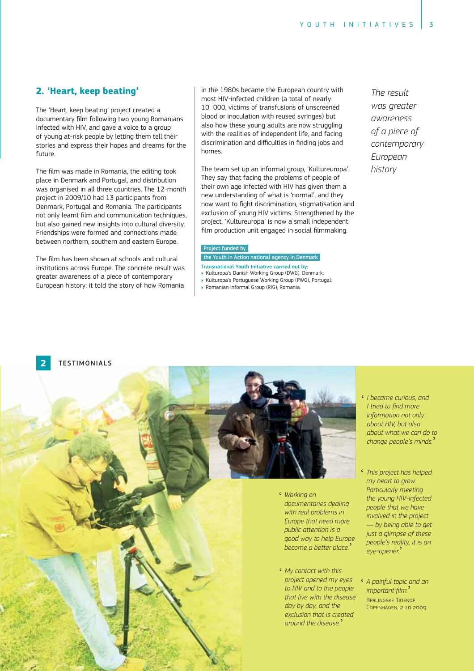#### **2. 'Heart, keep beating'**

The 'Heart, keep beating' project created a documentary film following two young Romanians infected with HIV, and gave a voice to a group of young at-risk people by letting them tell their stories and express their hopes and dreams for the future.

The film was made in Romania, the editing took place in Denmark and Portugal, and distribution was organised in all three countries. The 12-month project in 2009/10 had 13 participants from Denmark, Portugal and Romania. The participants not only learnt film and communication techniques, but also gained new insights into cultural diversity. Friendships were formed and connections made between northern, southern and eastern Europe.

The film has been shown at schools and cultural institutions across Europe. The concrete result was greater awareness of a piece of contemporary European history: it told the story of how Romania in the 1980s became the European country with most HIV-infected children (a total of nearly 10 000, victims of transfusions of unscreened blood or inoculation with reused syringes) but also how these young adults are now struggling with the realities of independent life, and facing discrimination and difficulties in finding jobs and homes.

The team set up an informal group, 'Kultureuropa'. They say that facing the problems of people of their own age infected with HIV has given them a new understanding of what is 'normal', and they now want to fight discrimination, stigmatisation and exclusion of young HIV victims. Strengthened by the project, 'Kultureuropa' is now a small independent film production unit engaged in social filmmaking.

#### Project funded by

- the Youth in Action national agency in Denmark
- Transnational Youth Initiative carried out by: - Kulturopa's Danish Working Group (DWG), Denmark;
- Kulturopa's Portuguese Working Group (PWG), Portugal;
- Romanian Informal Group (RIG), Romania.

*The result was greater awareness of a piece of contemporary European history*

#### **TESTIMONIALS**



- ' *I became curious, and l* tried to find more *information not only about HIV, but also about what we can do to change people's minds.*'
- ' *This project has helped my heart to grow. Particularly meeting the young HIV-infected people that we have involved in the project*  — *by being able to get just a glimpse of these people's reality, it is an eye-opener.*'
- ' *A painful topic and an*  A pairijal topic to<br>important film. **BERLINGSKE TIDENDE.** COPENHAGEN, 2.10.2009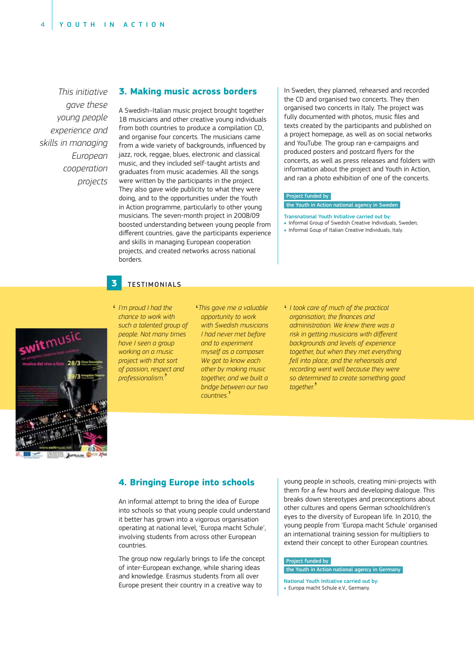*This initiative gave these young people experience and skills in managing European cooperation projects*

#### **3. Making music across borders**

A Swedish–Italian music project brought together 18 musicians and other creative young individuals from both countries to produce a compilation CD, and organise four concerts. The musicians came from a wide variety of backgrounds, influenced by jazz, rock, reggae, blues, electronic and classical music, and they included self-taught artists and graduates from music academies. All the songs were written by the participants in the project. They also gave wide publicity to what they were doing, and to the opportunities under the Youth in Action programme, particularly to other young musicians. The seven-month project in 2008/09 boosted understanding between young people from different countries, gave the participants experience and skills in managing European cooperation projects, and created networks across national borders.

In Sweden, they planned, rehearsed and recorded the CD and organised two concerts. They then organised two concerts in Italy. The project was fully documented with photos, music files and texts created by the participants and published on a project homepage, as well as on social networks and YouTube. The group ran e-campaigns and produced posters and postcard flyers for the concerts, as well as press releases and folders with information about the project and Youth in Action, and ran a photo exhibition of one of the concerts.

#### Project funded by

the Youth in Action national agency in Sweden

- Transnational Youth Initiative carried out by: Informal Group of Swedish Creative Individuals, Sweden;
- 
- . Informal Goup of Italian Creative Individuals, Italy.

switmusic 28/3



- **3 TESTIMONIALS**
- ' *I'm proud I had the chance to work with such a talented group of people. Not many times have I seen a group working on a music project with that sort of passion, respect and professionalism.* '
- ' *This gave me a valuable opportunity to work with Swedish musicians I had never met before and to experiment myself as a composer. We got to know each other by making music together, and we built a bridge between our two countries.* '
- ' *I took care of much of the practical <u>organisation, the finances and</u> administration. We knew there was a* risk in getting musicians with different *backgrounds and levels of experience together, but when they met everything fell into place, and the rehearsals and recording went well because they were so determined to create something good together.* '

#### **4. Bringing Europe into schools**

An informal attempt to bring the idea of Europe into schools so that young people could understand it better has grown into a vigorous organisation operating at national level, 'Europa macht Schule', involving students from across other European countries.

The group now regularly brings to life the concept of inter-European exchange, while sharing ideas and knowledge. Erasmus students from all over Europe present their country in a creative way to

young people in schools, creating mini-projects with them for a few hours and developing dialogue. This breaks down stereotypes and preconceptions about other cultures and opens German schoolchildren's eyes to the diversity of European life. In 2010, the young people from 'Europa macht Schule*'* organised an international training session for multipliers to extend their concept to other European countries.

#### Project funded by

#### the Youth in Action national agency in Germany

National Youth Initiative carried out by: Europa macht Schule e.V., Germany.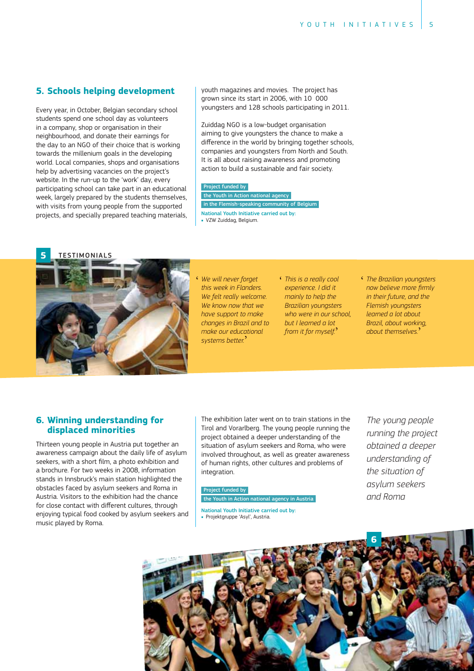#### **5. Schools helping development**

Every year, in October, Belgian secondary school students spend one school day as volunteers in a company, shop or organisation in their neighbourhood, and donate their earnings for the day to an NGO of their choice that is working towards the millenium goals in the developing world. Local companies, shops and organisations help by advertising vacancies on the project's website. In the run-up to the 'work' day, every participating school can take part in an educational week, largely prepared by the students themselves, with visits from young people from the supported projects, and specially prepared teaching materials, youth magazines and movies. The project has grown since its start in 2006, with 10 000 youngsters and 128 schools participating in 2011.

Zuiddag NGO is a low-budget organisation aiming to give youngsters the chance to make a difference in the world by bringing together schools, companies and youngsters from North and South. It is all about raising awareness and promoting action to build a sustainable and fair society.

#### Project funded by

the Youth in Action national agency in the Flemish-speaking community of Belgium National Youth Initiative carried out by:

VZW Zuiddag, Belgium.



' *We will never forget this week in Flanders. We felt really welcome. We know now that we have support to make changes in Brazil and to make our educational systems better.* '

- *This is a really cool experience. I did it mainly to help the Brazilian youngsters who were in our school, but I learned a lot from it for myself.* '
- ' *The Brazilian youngsters* now believe more firmly *in their future, and the Flemish youngsters learned a lot about Brazil, about working, about themselves.* '

#### **6. Winning understanding for displaced minorities**

Thirteen young people in Austria put together an awareness campaign about the daily life of asylum seekers, with a short film, a photo exhibition and a brochure. For two weeks in 2008, information stands in Innsbruck's main station highlighted the obstacles faced by asylum seekers and Roma in Austria. Visitors to the exhibition had the chance for close contact with different cultures, through enjoying typical food cooked by asylum seekers and music played by Roma.

The exhibition later went on to train stations in the Tirol and Vorarlberg. The young people running the project obtained a deeper understanding of the situation of asylum seekers and Roma, who were involved throughout, as well as greater awareness of human rights, other cultures and problems of integration.

#### Project funded by

the Youth in Action national agency in Austria

National Youth Initiative carried out by: Projektgruppe 'Asyl', Austria.

*The young people running the project obtained a deeper understanding of the situation of asylum seekers and Roma*

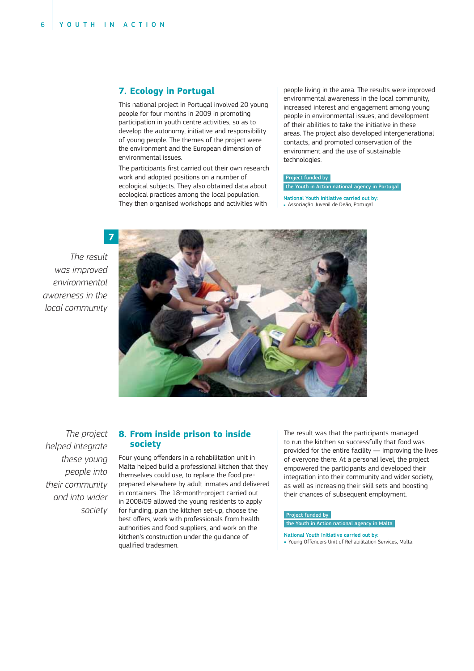#### **7. Ecology in Portugal**

This national project in Portugal involved 20 young people for four months in 2009 in promoting participation in youth centre activities, so as to develop the autonomy, initiative and responsibility of young people. The themes of the project were the environment and the European dimension of environmental issues.

The participants first carried out their own research work and adopted positions on a number of ecological subjects. They also obtained data about ecological practices among the local population. They then organised workshops and activities with

people living in the area. The results were improved environmental awareness in the local community, increased interest and engagement among young people in environmental issues, and development of their abilities to take the initiative in these areas. The project also developed intergenerational contacts, and promoted conservation of the environment and the use of sustainable technologies.

#### Project funded by

#### the Youth in Action national agency in Portugal

- National Youth Initiative carried out by:
- Associação Juvenil de Deão, Portugal.

*The result was improved environmental awareness in the local community*



*The project helped integrate these young people into their community and into wider society*

#### **8. From inside prison to inside society**

Four young offenders in a rehabilitation unit in Malta helped build a professional kitchen that they themselves could use, to replace the food preprepared elsewhere by adult inmates and delivered in containers. The 18-month-project carried out in 2008/09 allowed the young residents to apply for funding, plan the kitchen set-up, choose the best offers, work with professionals from health authorities and food suppliers, and work on the kitchen's construction under the guidance of qualified tradesmen.

The result was that the participants managed to run the kitchen so successfully that food was provided for the entire facility — improving the lives of everyone there. At a personal level, the project empowered the participants and developed their integration into their community and wider society, as well as increasing their skill sets and boosting their chances of subsequent employment.

#### Project funded by

- the Youth in Action national agency in Malta
- National Youth Initiative carried out by:
- . Young Offenders Unit of Rehabilitation Services, Malta.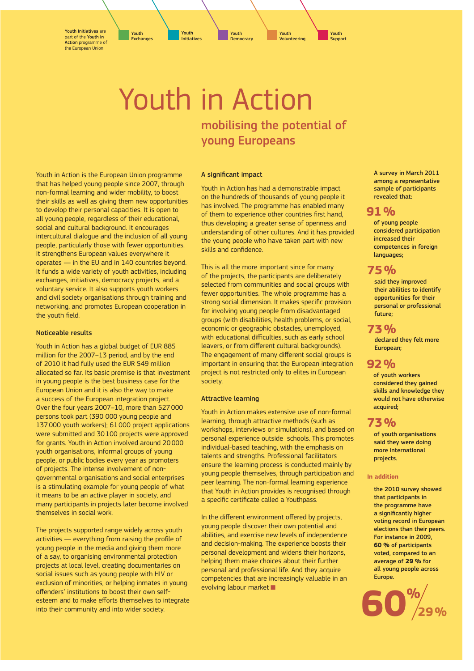Youth Initiatives are part of the Youth in Action programme of the European Union

Youth Exchanges

Youth **Democracy** 

Youth Initiatives

Youth Volunteering

Youth Support

### Youth in Action mobilising the potential of young Europeans

Youth in Action is the European Union programme that has helped young people since 2007, through non-formal learning and wider mobility, to boost their skills as well as giving them new opportunities to develop their personal capacities. It is open to all young people, regardless of their educational, social and cultural background. It encourages intercultural dialogue and the inclusion of all young people, particularly those with fewer opportunities. It strengthens European values everywhere it operates — in the EU and in 140 countries beyond. It funds a wide variety of youth activities, including exchanges, initiatives, democracy projects, and a voluntary service. It also supports youth workers and civil society organisations through training and networking, and promotes European cooperation in the youth field.

#### Noticeable results

Youth in Action has a global budget of EUR 885 million for the 2007–13 period, and by the end of 2010 it had fully used the EUR 549 million allocated so far. Its basic premise is that investment in young people is the best business case for the European Union and it is also the way to make a success of the European integration project. Over the four years 2007–10, more than 527 000 persons took part (390 000 young people and 137 000 youth workers); 61 000 project applications were submitted and 30 100 projects were approved for grants. Youth in Action involved around 20 000 youth organisations, informal groups of young people, or public bodies every year as promoters of projects. The intense involvement of nongovernmental organisations and social enterprises is a stimulating example for young people of what it means to be an active player in society, and many participants in projects later become involved themselves in social work.

The projects supported range widely across youth activities - everything from raising the profile of young people in the media and giving them more of a say, to organising environmental protection projects at local level, creating documentaries on social issues such as young people with HIV or exclusion of minorities, or helping inmates in young offenders' institutions to boost their own selfesteem and to make efforts themselves to integrate into their community and into wider society.

#### A significant impact

Youth in Action has had a demonstrable impact on the hundreds of thousands of young people it has involved. The programme has enabled many of them to experience other countries first hand, thus developing a greater sense of openness and understanding of other cultures. And it has provided the young people who have taken part with new skills and confidence.

This is all the more important since for many of the projects, the participants are deliberately selected from communities and social groups with fewer opportunities. The whole programme has a strong social dimension. It makes specific provision for involving young people from disadvantaged groups (with disabilities, health problems, or social, economic or geographic obstacles, unemployed, with educational difficulties, such as early school leavers, or from different cultural backgrounds). The engagement of many different social groups is important in ensuring that the European integration project is not restricted only to elites in European society.

#### Attractive learning

Youth in Action makes extensive use of non-formal learning, through attractive methods (such as workshops, interviews or simulations), and based on personal experience outside schools. This promotes individual-based teaching, with the emphasis on talents and strengths. Professional facilitators ensure the learning process is conducted mainly by young people themselves, through participation and peer learning. The non-formal learning experience that Youth in Action provides is recognised through a specific certificate called a Youthpass.

In the different environment offered by projects, young people discover their own potential and abilities, and exercise new levels of independence and decision-making. The experience boosts their personal development and widens their horizons, helping them make choices about their further personal and professional life. And they acquire competencies that are increasingly valuable in an evolving labour market

A survey in March 2011 among a representative sample of participants revealed that:

#### **91 %**

of young people considered participation increased their competences in foreign languages;

#### **75 %**

said they improved their abilities to identify opportunities for their personal or professional future;

#### **73 %**

declared they felt more European;

#### **92 %**

of youth workers considered they gained skills and knowledge they would not have otherwise acquired;

#### **73 %**

of youth organisations said they were doing more international projects.

#### **In addition**

the 2010 survey showed that participants in the programme have a significantly higher voting record in European elections than their peers. For instance in 2009, **60 %** of participants voted, compared to an average of **29 %** for all young people across Europe.